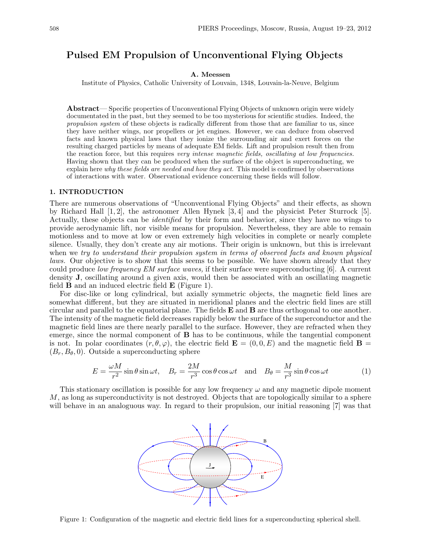# Pulsed EM Propulsion of Unconventional Flying Objects

### A. Meessen

Institute of Physics, Catholic University of Louvain, 1348, Louvain-la-Neuve, Belgium

Abstract— Specific properties of Unconventional Flying Objects of unknown origin were widely documentated in the past, but they seemed to be too mysterious for scientific studies. Indeed, the propulsion system of these objects is radically different from those that are familiar to us, since they have neither wings, nor propellers or jet engines. However, we can deduce from observed facts and known physical laws that they ionize the surrounding air and exert forces on the resulting charged particles by means of adequate EM fields. Lift and propulsion result then from the reaction force, but this requires very intense magnetic fields, oscillating at low frequencies. Having shown that they can be produced when the surface of the object is superconducting, we explain here *why these fields are needed and how they act*. This model is confirmed by observations of interactions with water. Observational evidence concerning these fields will follow.

#### 1. INTRODUCTION

There are numerous observations of "Unconventional Flying Objects" and their effects, as shown by Richard Hall  $[1, 2]$ , the astronomer Allen Hynek  $[3, 4]$  and the physicist Peter Sturrock  $[5]$ . Actually, these objects can be identified by their form and behavior, since they have no wings to provide aerodynamic lift, nor visible means for propulsion. Nevertheless, they are able to remain motionless and to move at low or even extremely high velocities in complete or nearly complete silence. Usually, they don't create any air motions. Their origin is unknown, but this is irrelevant when we try to understand their propulsion system in terms of observed facts and known physical laws. Our objective is to show that this seems to be possible. We have shown already that they could produce low frequency EM surface waves, if their surface were superconducting [6]. A current density J, oscillating around a given axis, would then be associated with an oscillating magnetic field  $\bf{B}$  and an induced electric field  $\bf{E}$  (Figure 1).

For disc-like or long cylindrical, but axially symmetric objects, the magnetic field lines are somewhat different, but they are situated in meridional planes and the electric field lines are still circular and parallel to the equatorial plane. The fields  $E$  and  $B$  are thus orthogonal to one another. The intensity of the magnetic field decreases rapidly below the surface of the superconductor and the magnetic field lines are there nearly parallel to the surface. However, they are refracted when they emerge, since the normal component of B has to be continuous, while the tangential component is not. In polar coordinates  $(r, \theta, \varphi)$ , the electric field  $\mathbf{E} = (0, 0, E)$  and the magnetic field  $\mathbf{B} =$  $(B_r, B_\theta, 0)$ . Outside a superconducting sphere

$$
E = \frac{\omega M}{r^2} \sin \theta \sin \omega t, \quad B_r = \frac{2M}{r^3} \cos \theta \cos \omega t \quad \text{and} \quad B_\theta = \frac{M}{r^3} \sin \theta \cos \omega t \tag{1}
$$

This stationary oscillation is possible for any low frequency  $\omega$  and any magnetic dipole moment M, as long as superconductivity is not destroyed. Objects that are topologically similar to a sphere will behave in an analoguous way. In regard to their propulsion, our initial reasoning [7] was that



Figure 1: Configuration of the magnetic and electric field lines for a superconducting spherical shell.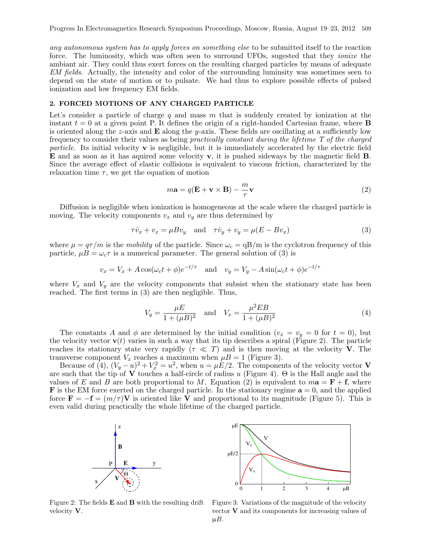any autonomous system has to apply forces on something else to be submitted itself to the reaction force. The luminosity, which was often seen to surround UFOs, sugested that they ionize the ambiant air. They could thus exert forces on the resulting charged particles by means of adequate EM fields. Actually, the intensity and color of the surrounding luminsity was sometimes seen to depend on the state of motion or to pulsate. We had thus to explore possible effects of pulsed ionization and low frequency EM fields.

#### 2. FORCED MOTIONS OF ANY CHARGED PARTICLE

Let's consider a particle of charge  $q$  and mass  $m$  that is suddenly created by ionization at the instant  $t = 0$  at a given point P. It defines the origin of a right-handed Cartesian frame, where **B** is oriented along the z-axis and  $\bf{E}$  along the y-axis. These fields are oscillating at a sufficiently low frequency to consider their values as being practically constant during the lifetime T of the charged particle. Its initial velocity  $\bf{v}$  is negligible, but it is immediately accelerated by the electric field E and as soon as it has aquired some velocity v, it is pushed sideways by the magnetic field B. Since the average effect of elastic collisions is equivalent to viscous friction, characterized by the relaxation time  $\tau$ , we get the equation of motion

$$
m\mathbf{a} = q(\mathbf{E} + \mathbf{v} \times \mathbf{B}) - \frac{m}{\tau}\mathbf{v}
$$
 (2)

Diffusion is negligible when ionization is homogeneous at the scale where the charged particle is moving. The velocity components  $v_x$  and  $v_y$  are thus determined by

$$
\tau \dot{v}_x + v_x = \mu B v_y \quad \text{and} \quad \tau \dot{v}_y + v_y = \mu (E - B v_x) \tag{3}
$$

where  $\mu = q\tau/m$  is the mobility of the particle. Since  $\omega_c = qB/m$  is the cyclotron frequency of this particle,  $\mu B = \omega_c \tau$  is a numerical parameter. The general solution of (3) is

$$
v_x = V_x + A\cos(\omega_c t + \phi)e^{-t/\tau}
$$
 and  $v_y = V_y - A\sin(\omega_c t + \phi)e^{-t/\tau}$ 

where  $V_x$  and  $V_y$  are the velocity components that subsist when the stationary state has been reached. The first terms in (3) are then negligible. Thus,

$$
V_y = \frac{\mu E}{1 + (\mu B)^2} \quad \text{and} \quad V_x = \frac{\mu^2 E B}{1 + (\mu B)^2}
$$
 (4)

The constants A and  $\phi$  are determined by the initial condition  $(v_x = v_y = 0$  for  $t = 0)$ , but the velocity vector  $\mathbf{v}(t)$  varies in such a way that its tip describes a spiral (Figure 2). The particle reaches its stationary state very rapidly ( $\tau \ll T$ ) and is then moving at the velocity V. The transverse component  $V_x$  reaches a maximum when  $\mu B = 1$  (Figure 3).

Because of (4),  $(V_y - u)^2 + V_x^2 = u^2$ , when  $u = \mu E/2$ . The components of the velocity vector V are such that the tip of  $V$  touches a half-circle of radius u (Figure 4).  $\Theta$  is the Hall angle and the values of E and B are both proportional to M. Equation (2) is equivalent to  $m\mathbf{a} = \mathbf{F} + \mathbf{f}$ , where **F** is the EM force exerted on the charged particle. In the stationary regime  $\mathbf{a} = 0$ , and the applied force  $\mathbf{F} = -\mathbf{f} = (m/\tau)\mathbf{V}$  is oriented like V and proportional to its magnitude (Figure 5). This is even valid during practically the whole lifetime of the charged particle.





Figure 2: The fields  $E$  and  $B$  with the resulting drift velocity V.

Figure 3: Variations of the magnitude of the velocity vector  $V$  and its components for increasing values of  $\mu B$ .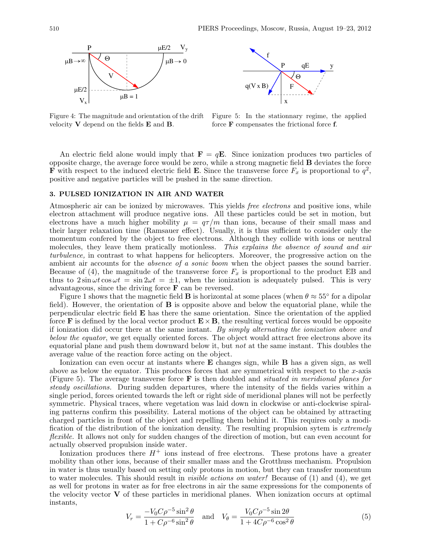



Figure 4: The magnitude and orientation of the drift velocity V depend on the fields E and B.

Figure 5: In the stationnary regime, the applied force F compensates the frictional force f.

An electric field alone would imply that  $\mathbf{F} = q\mathbf{E}$ . Since ionization produces two particles of opposite charge, the average force would be zero, while a strong magnetic field B deviates the force **F** with respect to the induced electric field **E**. Since the transverse force  $F_x$  is proportional to  $q^2$ , positive and negative particles will be pushed in the same direction.

#### 3. PULSED IONIZATION IN AIR AND WATER

Atmospheric air can be ionized by microwaves. This yields free electrons and positive ions, while electron attachment will produce negative ions. All these particles could be set in motion, but electrons have a much higher mobility  $\mu = q\tau/m$  than ions, because of their small mass and their larger relaxation time (Ramsauer effect). Usually, it is thus sufficient to consider only the momentum confered by the object to free electrons. Although they collide with ions or neutral molecules, they leave them pratically motionless. This explains the absence of sound and air turbulence, in contrast to what happens for helicopters. Moreover, the progressive action on the ambient air accounts for the *absence of a sonic boom* when the object passes the sound barrier. Because of (4), the magnitude of the transverse force  $F_x$  is proportional to the product EB and thus to  $2 \sin \omega t \cos \omega t = \sin 2\omega t = \pm 1$ , when the ionization is adequately pulsed. This is very advantageous, since the driving force F can be reversed.

Figure 1 shows that the magnetic field **B** is horizontal at some places (when  $\theta \approx 55^{\circ}$  for a dipolar field). However, the orientation of B is opposite above and below the equatorial plane, while the perpendicular electric field E has there the same orientation. Since the orientation of the applied force **F** is defined by the local vector product  $\mathbf{E} \times \mathbf{B}$ , the resulting vertical forces would be opposite if ionization did occur there at the same instant. By simply alternating the ionization above and below the equator, we get equally oriented forces. The object would attract free electrons above its equatorial plane and push them downward below it, but not at the same instant. This doubles the average value of the reaction force acting on the object.

Ionization can even occur at instants where E changes sign, while B has a given sign, as well above as below the equator. This produces forces that are symmetrical with respect to the  $x$ -axis (Figure 5). The average transverse force  $\bf{F}$  is then doubled and *situated in meridional planes for* steady oscillations. During sudden departures, where the intensity of the fields varies within a single period, forces oriented towards the left or right side of meridional planes will not be perfectly symmetric. Physical traces, where vegetation was laid down in clockwise or anti-clockwise spiraling patterns confirm this possibility. Lateral motions of the object can be obtained by attracting charged particles in front of the object and repelling them behind it. This requires only a modification of the distribution of the ionization density. The resulting propulsion sytem is *extremely* flexible. It allows not only for sudden changes of the direction of motion, but can even account for actually observed propulsion inside water.

Ionization produces there  $H^+$  ions instead of free electrons. These protons have a greater mobility than other ions, because of their smaller mass and the Grotthuss mechanism. Propulsion in water is thus usually based on setting only protons in motion, but they can transfer momentum to water molecules. This should result in visible actions on water! Because of (1) and (4), we get as well for protons in water as for free electrons in air the same expressions for the components of the velocity vector  $\bf{V}$  of these particles in meridional planes. When ionization occurs at optimal instants,

$$
V_r = \frac{-V_0 C \rho^{-5} \sin^2 \theta}{1 + C \rho^{-6} \sin^2 \theta} \quad \text{and} \quad V_\theta = \frac{V_0 C \rho^{-5} \sin 2\theta}{1 + 4C \rho^{-6} \cos^2 \theta} \tag{5}
$$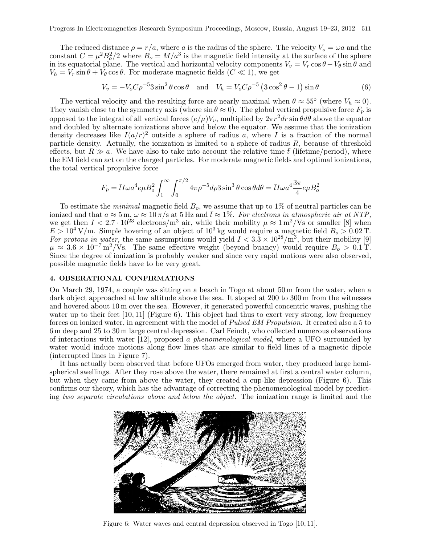The reduced distance  $\rho = r/a$ , where a is the radius of the sphere. The velocity  $V_o = \omega a$  and the constant  $C = \mu^2 B_o^2/2$  where  $B_o = M/a^3$  is the magnetic field intensity at the surface of the sphere in its equatorial plane. The vertical and horizontal velocity components  $V_v = V_r \cos \theta - V_\theta \sin \theta$  and  $V_h = V_r \sin \theta + V_\theta \cos \theta$ . For moderate magnetic fields  $(C \ll 1)$ , we get

$$
V_v = -V_o C \rho^{-5} 3 \sin^2 \theta \cos \theta \quad \text{and} \quad V_h = V_o C \rho^{-5} \left( 3 \cos^2 \theta - 1 \right) \sin \theta \tag{6}
$$

The vertical velocity and the resulting force are nearly maximal when  $\theta \approx 55^{\circ}$  (where  $V_h \approx 0$ ). They vanish close to the symmetry axis (where  $\sin \theta \approx 0$ ). The global vertical propulsive force  $F_p$  is opposed to the integral of all vertical forces  $(e/\mu)V_v$ , multiplied by  $2\pi r^2 dr \sin \theta d\theta$  above the equator and doubled by alternate ionizations above and below the equator. We assume that the ionization density decreases like  $I(a/r)^2$  outside a sphere of radius a, where I is a fraction of the normal particle density. Actually, the ionization is limited to a sphere of radius  $R$ , because of threshold effects, but  $R \gg a$ . We have also to take into account the relative time  $\bar{t}$  (lifetime/period), where the EM field can act on the charged particles. For moderate magnetic fields and optimal ionizations, the total vertical propulsive force

$$
F_p = \bar{t}I\omega a^4 e^mu B_o^2 \int_1^{\infty} \int_0^{\pi/2} 4\pi \rho^{-5} d\rho 3 \sin^3 \theta \cos \theta d\theta = \bar{t}I\omega a^4 \frac{3\pi}{4} e^{\mu} B_o^2
$$

To estimate the *minimal* magnetic field  $B<sub>o</sub>$ , we assume that up to 1% of neutral particles can be ionized and that  $a \approx 5$  m,  $\omega \approx 10 \pi/s$  at  $5$  Hz and  $\bar{t} \approx 1\%$ . For electrons in atmospheric air at NTP, we get then  $I < 2.7 \cdot 10^{23}$  electrons/m<sup>3</sup> air, while their mobility  $\mu \approx 1 \,\mathrm{m}^2/\mathrm{Vs}$  or smaller [8] when  $E > 10^4$  V/m. Simple hovering of an object of 10<sup>3</sup> kg would require a magnetic field  $B_0 > 0.02$  T. For protons in water, the same assumptions would yield  $I < 3.3 \times 10^{28}/\text{m}^3$ , but their mobility [9]  $\mu \approx 3.6 \times 10^{-7} \text{ m}^2/\text{Vs}$ . The same effective weight (beyond buancy) would require  $B_o > 0.1 \text{ T}$ . Since the degree of ionization is probably weaker and since very rapid motions were also observed, possible magnetic fields have to be very great.

## 4. OBSERATIONAL CONFIRMATIONS

On March 29, 1974, a couple was sitting on a beach in Togo at about 50 m from the water, when a dark object approached at low altitude above the sea. It stoped at 200 to 300 m from the witnesses and hovered about 10 m over the sea. However, it generated powerful concentric waves, pushing the water up to their feet  $[10, 11]$  (Figure 6). This object had thus to exert very strong, low frequency forces on ionized water, in agreement with the model of Pulsed EM Propulsion. It created also a 5 to 6 m deep and 25 to 30 m large central depression. Carl Feindt, who collected numerous observations of interactions with water [12], proposed a phenomenological model, where a UFO surrounded by water would induce motions along flow lines that are similar to field lines of a magnetic dipole (interrupted lines in Figure 7).

It has actually been observed that before UFOs emerged from water, they produced large hemispherical swellings. After they rose above the water, there remained at first a central water column, but when they came from above the water, they created a cup-like depression (Figure 6). This confirms our theory, which has the advantage of correcting the phenomenological model by predicting two separate circulations above and below the object. The ionization range is limited and the



Figure 6: Water waves and central depression observed in Togo [10, 11].